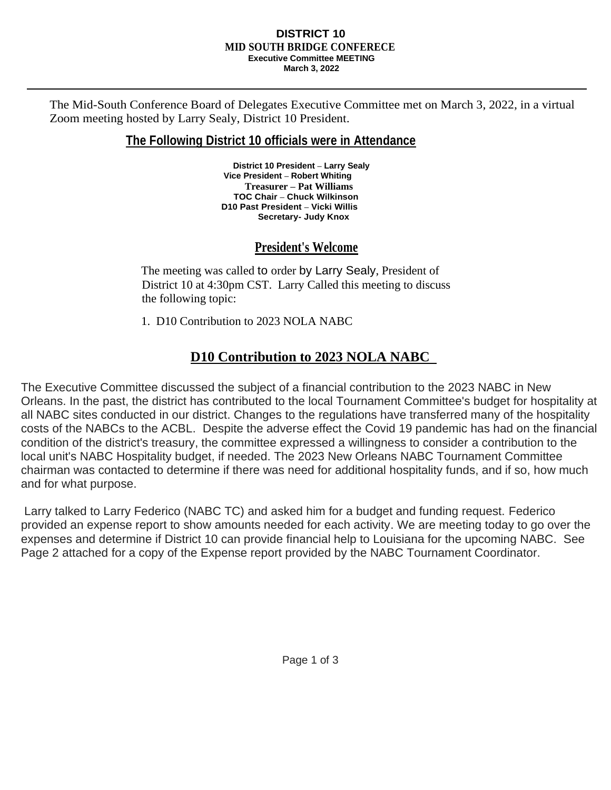#### **DISTRICT 10 MID SOUTH BRIDGE CONFERECE Executive Committee MEETING March 3, 2022**

The Mid-South Conference Board of Delegates Executive Committee met on March 3, 2022, in a virtual Zoom meeting hosted by Larry Sealy, District 10 President.

## **The Following District 10 officials were in Attendance**

 **District 10 President – Larry Sealy Vice President – Robert Whiting Treasurer – Pat Williams TOC Chair – Chuck Wilkinson D10 Past President – Vicki Willis Secretary- Judy Knox** 

## **President's Welcome**

The meeting was called to order by Larry Sealy, President of District 10 at 4:30pm CST. Larry Called this meeting to discuss the following topic:

1. D10 Contribution to 2023 NOLA NABC

# **D10 Contribution to 2023 NOLA NABC**

The Executive Committee discussed the subject of a financial contribution to the 2023 NABC in New Orleans. In the past, the district has contributed to the local Tournament Committee's budget for hospitality at all NABC sites conducted in our district. Changes to the regulations have transferred many of the hospitality costs of the NABCs to the ACBL. Despite the adverse effect the Covid 19 pandemic has had on the financial condition of the district's treasury, the committee expressed a willingness to consider a contribution to the local unit's NABC Hospitality budget, if needed. The 2023 New Orleans NABC Tournament Committee chairman was contacted to determine if there was need for additional hospitality funds, and if so, how much and for what purpose.

Larry talked to Larry Federico (NABC TC) and asked him for a budget and funding request. Federico provided an expense report to show amounts needed for each activity. We are meeting today to go over the expenses and determine if District 10 can provide financial help to Louisiana for the upcoming NABC. See Page 2 attached for a copy of the Expense report provided by the NABC Tournament Coordinator.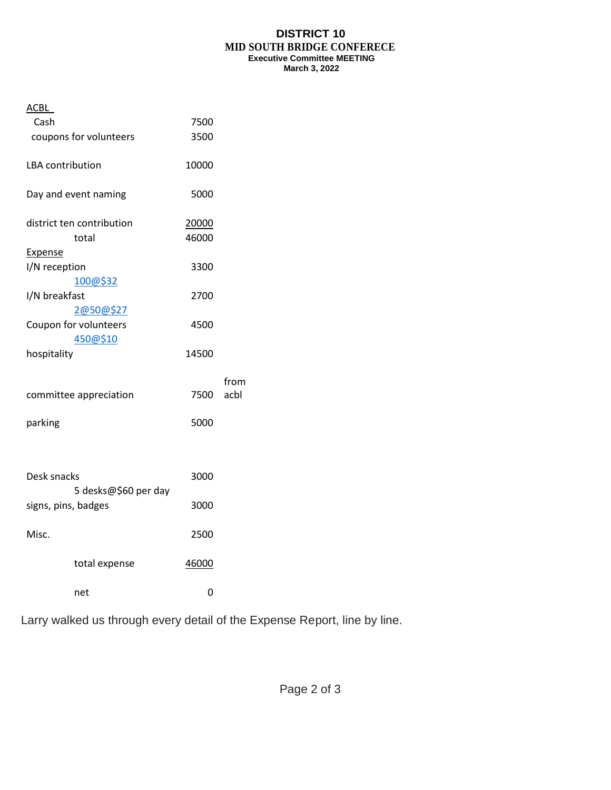### **DISTRICT 10 MID SOUTH BRIDGE CONFERECE Executive Committee MEETING March 3, 2022**

| <u>ACBL</u>               |                      |              |
|---------------------------|----------------------|--------------|
| Cash                      |                      | 7500         |
| coupons for volunteers    |                      | 3500         |
| LBA contribution          |                      | 10000        |
| Day and event naming      |                      | 5000         |
| district ten contribution |                      | 20000        |
| total                     |                      | 46000        |
| <b>Expense</b>            |                      |              |
| I/N reception             |                      | 3300         |
| 100@\$32                  |                      |              |
| I/N breakfast             |                      | 2700         |
| 2@50@\$27                 |                      |              |
| Coupon for volunteers     |                      | 4500         |
| 450@\$10                  |                      |              |
| hospitality               |                      | 14500        |
|                           |                      |              |
|                           |                      | from         |
| committee appreciation    |                      | acbl<br>7500 |
| parking                   |                      | 5000         |
|                           |                      |              |
|                           |                      |              |
| Desk snacks               |                      | 3000         |
|                           | 5 desks@\$60 per day |              |
| signs, pins, badges       |                      | 3000         |
| Misc.                     |                      | 2500         |
| total expense             |                      | 46000        |
| net                       |                      | 0            |

Larry walked us through every detail of the Expense Report, line by line.